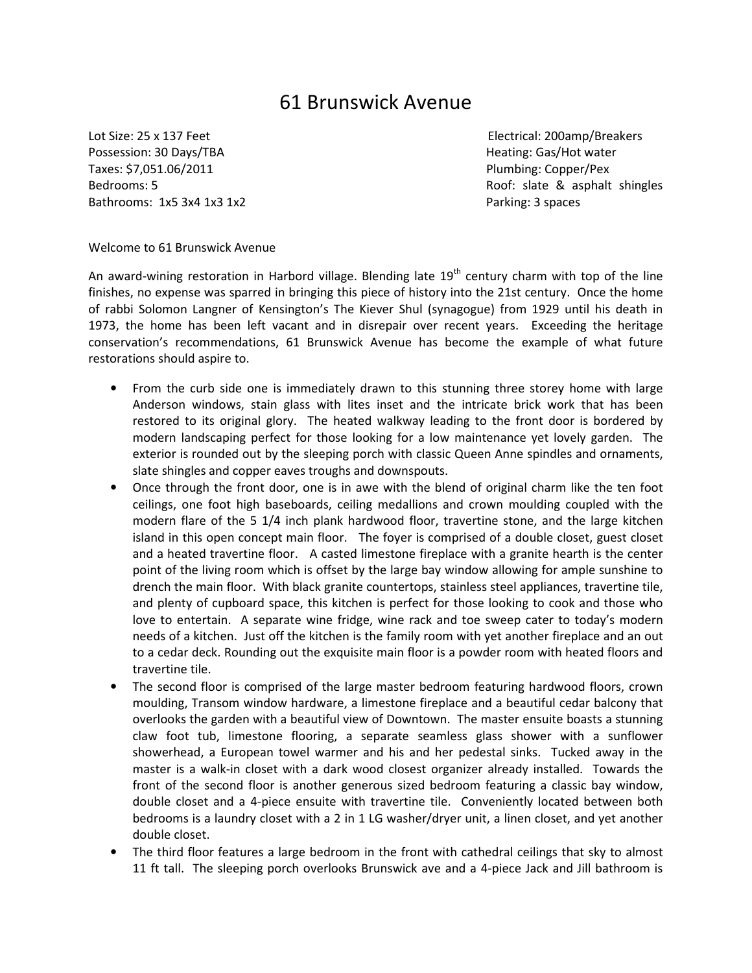## 61 Brunswick Avenue

Possession: 30 Days/TBA **Heating: Gas/Hot water** Heating: Gas/Hot water Taxes: \$7,051.06/2011 Plumbing: Copper/Pex Bathrooms: 1x5 3x4 1x3 1x2 Parking: 3 spaces

Lot Size: 25 x 137 Feet Electrical: 200amp/Breakers Bedrooms: 5 **Bedrooms: 5 Roof: slate & asphalt shingles** 

Welcome to 61 Brunswick Avenue

An award-wining restoration in Harbord village. Blending late  $19<sup>th</sup>$  century charm with top of the line finishes, no expense was sparred in bringing this piece of history into the 21st century. Once the home of rabbi Solomon Langner of Kensington's The Kiever Shul (synagogue) from 1929 until his death in 1973, the home has been left vacant and in disrepair over recent years. Exceeding the heritage conservation's recommendations, 61 Brunswick Avenue has become the example of what future restorations should aspire to.

- From the curb side one is immediately drawn to this stunning three storey home with large Anderson windows, stain glass with lites inset and the intricate brick work that has been restored to its original glory. The heated walkway leading to the front door is bordered by modern landscaping perfect for those looking for a low maintenance yet lovely garden. The exterior is rounded out by the sleeping porch with classic Queen Anne spindles and ornaments, slate shingles and copper eaves troughs and downspouts.
- Once through the front door, one is in awe with the blend of original charm like the ten foot ceilings, one foot high baseboards, ceiling medallions and crown moulding coupled with the modern flare of the 5 1/4 inch plank hardwood floor, travertine stone, and the large kitchen island in this open concept main floor. The foyer is comprised of a double closet, guest closet and a heated travertine floor. A casted limestone fireplace with a granite hearth is the center point of the living room which is offset by the large bay window allowing for ample sunshine to drench the main floor. With black granite countertops, stainless steel appliances, travertine tile, and plenty of cupboard space, this kitchen is perfect for those looking to cook and those who love to entertain. A separate wine fridge, wine rack and toe sweep cater to today's modern needs of a kitchen. Just off the kitchen is the family room with yet another fireplace and an out to a cedar deck. Rounding out the exquisite main floor is a powder room with heated floors and travertine tile.
- The second floor is comprised of the large master bedroom featuring hardwood floors, crown moulding, Transom window hardware, a limestone fireplace and a beautiful cedar balcony that overlooks the garden with a beautiful view of Downtown. The master ensuite boasts a stunning claw foot tub, limestone flooring, a separate seamless glass shower with a sunflower showerhead, a European towel warmer and his and her pedestal sinks. Tucked away in the master is a walk-in closet with a dark wood closest organizer already installed. Towards the front of the second floor is another generous sized bedroom featuring a classic bay window, double closet and a 4-piece ensuite with travertine tile. Conveniently located between both bedrooms is a laundry closet with a 2 in 1 LG washer/dryer unit, a linen closet, and yet another double closet.
- The third floor features a large bedroom in the front with cathedral ceilings that sky to almost 11 ft tall. The sleeping porch overlooks Brunswick ave and a 4-piece Jack and Jill bathroom is